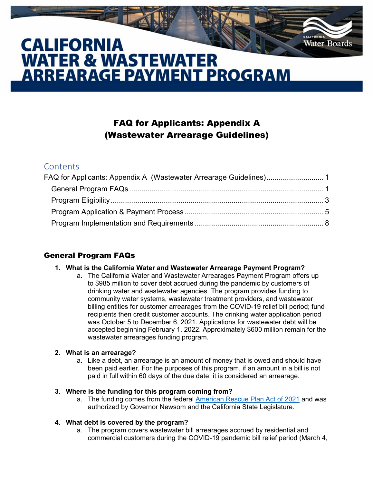# **CALIFORNIA WATER & WASTEWATER ARREARAGE PAYMENT PROGRAM**

# FAQ for Applicants: Appendix A (Wastewater Arrearage Guidelines)

**Water Boards** 

# <span id="page-0-0"></span>**Contents**

| FAQ for Applicants: Appendix A (Wastewater Arrearage Guidelines) 1 |  |
|--------------------------------------------------------------------|--|
|                                                                    |  |
|                                                                    |  |
|                                                                    |  |
|                                                                    |  |

# <span id="page-0-1"></span>General Program FAQs

#### **1. What is the California Water and Wastewater Arrearage Payment Program?**

a. The California Water and Wastewater Arrearages Payment Program offers up to \$985 million to cover debt accrued during the pandemic by customers of drinking water and wastewater agencies. The program provides funding to community water systems, wastewater treatment providers, and wastewater billing entities for customer arrearages from the COVID-19 relief bill period; fund recipients then credit customer accounts. The drinking water application period was October 5 to December 6, 2021. Applications for wastewater debt will be accepted beginning February 1, 2022. Approximately \$600 million remain for the wastewater arrearages funding program.

# **2. What is an arrearage?**

a. Like a debt, an arrearage is an amount of money that is owed and should have been paid earlier. For the purposes of this program, if an amount in a bill is not paid in full within 60 days of the due date, it is considered an arrearage.

# **3. Where is the funding for this program coming from?**

a. The funding comes from the federal [American Rescue Plan Act of 2021](https://home.treasury.gov/news/featured-stories/fact-sheet-the-american-rescue-plan-will-deliver-immediate-economic-relief-to-families) and was authorized by Governor Newsom and the California State Legislature.

# **4. What debt is covered by the program?**

a. The program covers wastewater bill arrearages accrued by residential and commercial customers during the COVID-19 pandemic bill relief period (March 4,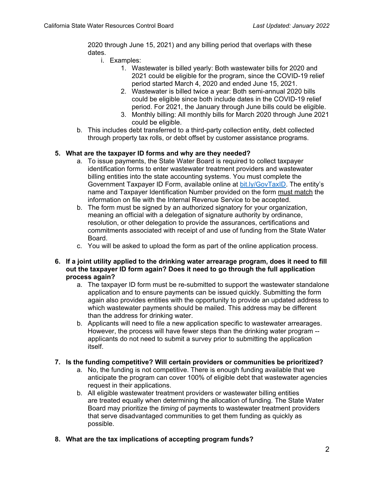2020 through June 15, 2021) and any billing period that overlaps with these dates.

- i. Examples:
	- 1. Wastewater is billed yearly: Both wastewater bills for 2020 and 2021 could be eligible for the program, since the COVID-19 relief period started March 4, 2020 and ended June 15, 2021.
	- 2. Wastewater is billed twice a year: Both semi-annual 2020 bills could be eligible since both include dates in the COVID-19 relief period. For 2021, the January through June bills could be eligible.
	- 3. Monthly billing: All monthly bills for March 2020 through June 2021 could be eligible.
- b. This includes debt transferred to a third-party collection entity, debt collected through property tax rolls, or debt offset by customer assistance programs.

#### **5. What are the taxpayer ID forms and why are they needed?**

- a. To issue payments, the State Water Board is required to collect taxpayer identification forms to enter wastewater treatment providers and wastewater billing entities into the state accounting systems. You must complete the Government Taxpayer ID Form, available online at [bit.ly/GovTaxID.](http://bit.ly/GovTaxID) The entity's name and Taxpayer Identification Number provided on the form must match the information on file with the Internal Revenue Service to be accepted.
- b. The form must be signed by an authorized signatory for your organization, meaning an official with a delegation of signature authority by ordinance, resolution, or other delegation to provide the assurances, certifications and commitments associated with receipt of and use of funding from the State Water Board.
- c. You will be asked to upload the form as part of the online application process.
- **6. If a joint utility applied to the drinking water arrearage program, does it need to fill out the taxpayer ID form again? Does it need to go through the full application process again?**
	- a. The taxpayer ID form must be re-submitted to support the wastewater standalone application and to ensure payments can be issued quickly. Submitting the form again also provides entities with the opportunity to provide an updated address to which wastewater payments should be mailed. This address may be different than the address for drinking water.
	- b. Applicants will need to file a new application specific to wastewater arrearages. However, the process will have fewer steps than the drinking water program - applicants do not need to submit a survey prior to submitting the application itself.

#### **7. Is the funding competitive? Will certain providers or communities be prioritized?**

- a. No, the funding is not competitive. There is enough funding available that we anticipate the program can cover 100% of eligible debt that wastewater agencies request in their applications.
- b. All eligible wastewater treatment providers or wastewater billing entities are treated equally when determining the allocation of funding. The State Water Board may prioritize the *timing* of payments to wastewater treatment providers that serve disadvantaged communities to get them funding as quickly as possible.
- **8. What are the tax implications of accepting program funds?**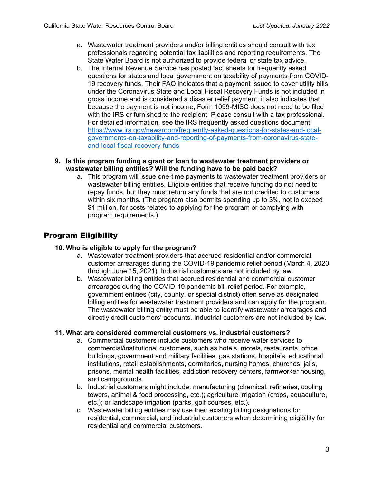- a. Wastewater treatment providers and/or billing entities should consult with tax professionals regarding potential tax liabilities and reporting requirements. The State Water Board is not authorized to provide federal or state tax advice.
- b. The Internal Revenue Service has posted fact sheets for frequently asked questions for states and local government on taxability of payments from COVID-19 recovery funds. Their FAQ indicates that a payment issued to cover utility bills under the Coronavirus State and Local Fiscal Recovery Funds is not included in gross income and is considered a disaster relief payment; it also indicates that because the payment is not income, Form 1099-MISC does not need to be filed with the IRS or furnished to the recipient. Please consult with a tax professional. For detailed information, see the IRS frequently asked questions document: [https://www.irs.gov/newsroom/frequently-asked-questions-for-states-and-local](https://www.irs.gov/newsroom/frequently-asked-questions-for-states-and-local-governments-on-taxability-and-reporting-of-payments-from-coronavirus-state-and-local-fiscal-recovery-funds)[governments-on-taxability-and-reporting-of-payments-from-coronavirus-state](https://www.irs.gov/newsroom/frequently-asked-questions-for-states-and-local-governments-on-taxability-and-reporting-of-payments-from-coronavirus-state-and-local-fiscal-recovery-funds)[and-local-fiscal-recovery-funds](https://www.irs.gov/newsroom/frequently-asked-questions-for-states-and-local-governments-on-taxability-and-reporting-of-payments-from-coronavirus-state-and-local-fiscal-recovery-funds)
- **9. Is this program funding a grant or loan to wastewater treatment providers or wastewater billing entities? Will the funding have to be paid back?**
	- a. This program will issue one-time payments to wastewater treatment providers or wastewater billing entities. Eligible entities that receive funding do not need to repay funds, but they must return any funds that are not credited to customers within six months. (The program also permits spending up to 3%, not to exceed \$1 million, for costs related to applying for the program or complying with program requirements.)

# <span id="page-2-0"></span>Program Eligibility

#### **10. Who is eligible to apply for the program?**

- a. Wastewater treatment providers that accrued residential and/or commercial customer arrearages during the COVID-19 pandemic relief period (March 4, 2020 through June 15, 2021). Industrial customers are not included by law.
- b. Wastewater billing entities that accrued residential and commercial customer arrearages during the COVID-19 pandemic bill relief period. For example, government entities (city, county, or special district) often serve as designated billing entities for wastewater treatment providers and can apply for the program. The wastewater billing entity must be able to identify wastewater arrearages and directly credit customers' accounts. Industrial customers are not included by law.

#### **11. What are considered commercial customers vs. industrial customers?**

- a. Commercial customers include customers who receive water services to commercial/institutional customers, such as hotels, motels, restaurants, office buildings, government and military facilities, gas stations, hospitals, educational institutions, retail establishments, dormitories, nursing homes, churches, jails, prisons, mental health facilities, addiction recovery centers, farmworker housing, and campgrounds.
- b. Industrial customers might include: manufacturing (chemical, refineries, cooling towers, animal & food processing, etc.); agriculture irrigation (crops, aquaculture, etc.); or landscape irrigation (parks, golf courses, etc.).
- c. Wastewater billing entities may use their existing billing designations for residential, commercial, and industrial customers when determining eligibility for residential and commercial customers.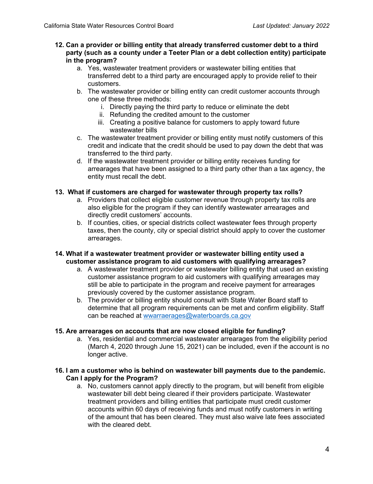- **12. Can a provider or billing entity that already transferred customer debt to a third party (such as a county under a Teeter Plan or a debt collection entity) participate in the program?** 
	- a. Yes, wastewater treatment providers or wastewater billing entities that transferred debt to a third party are encouraged apply to provide relief to their customers.
	- b. The wastewater provider or billing entity can credit customer accounts through one of these three methods:
		- i. Directly paying the third party to reduce or eliminate the debt
		- ii. Refunding the credited amount to the customer
		- iii. Creating a positive balance for customers to apply toward future wastewater bills
	- c. The wastewater treatment provider or billing entity must notify customers of this credit and indicate that the credit should be used to pay down the debt that was transferred to the third party.
	- d. If the wastewater treatment provider or billing entity receives funding for arrearages that have been assigned to a third party other than a tax agency, the entity must recall the debt.

### **13. What if customers are charged for wastewater through property tax rolls?**

- a. Providers that collect eligible customer revenue through property tax rolls are also eligible for the program if they can identify wastewater arrearages and directly credit customers' accounts.
- b. If counties, cities, or special districts collect wastewater fees through property taxes, then the county, city or special district should apply to cover the customer arrearages.

#### **14. What if a wastewater treatment provider or wastewater billing entity used a customer assistance program to aid customers with qualifying arrearages?**

- a. A wastewater treatment provider or wastewater billing entity that used an existing customer assistance program to aid customers with qualifying arrearages may still be able to participate in the program and receive payment for arrearages previously covered by the customer assistance program.
- b. The provider or billing entity should consult with State Water Board staff to determine that all program requirements can be met and confirm eligibility. Staff can be reached at [wwarraerages@waterboards.ca.gov](mailto:wwarraerages@waterboards.ca.gov)

#### **15. Are arrearages on accounts that are now closed eligible for funding?**

a. Yes, residential and commercial wastewater arrearages from the eligibility period (March 4, 2020 through June 15, 2021) can be included, even if the account is no longer active.

#### **16. I am a customer who is behind on wastewater bill payments due to the pandemic. Can I apply for the Program?**

a. No, customers cannot apply directly to the program, but will benefit from eligible wastewater bill debt being cleared if their providers participate. Wastewater treatment providers and billing entities that participate must credit customer accounts within 60 days of receiving funds and must notify customers in writing of the amount that has been cleared. They must also waive late fees associated with the cleared debt.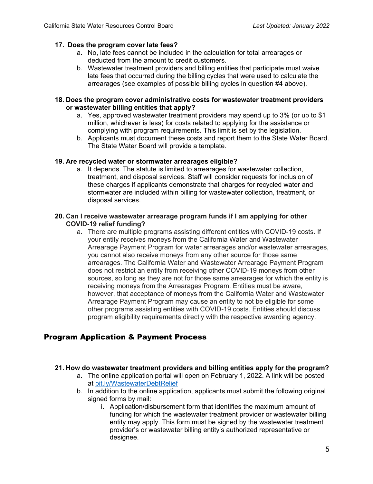#### **17. Does the program cover late fees?**

- a. No, late fees cannot be included in the calculation for total arrearages or deducted from the amount to credit customers.
- b. Wastewater treatment providers and billing entities that participate must waive late fees that occurred during the billing cycles that were used to calculate the arrearages (see examples of possible billing cycles in question #4 above).
- **18. Does the program cover administrative costs for wastewater treatment providers or wastewater billing entities that apply?** 
	- a. Yes, approved wastewater treatment providers may spend up to 3% (or up to \$1 million, whichever is less) for costs related to applying for the assistance or complying with program requirements. This limit is set by the legislation.
	- b. Applicants must document these costs and report them to the State Water Board. The State Water Board will provide a template.

#### **19. Are recycled water or stormwater arrearages eligible?**

a. It depends. The statute is limited to arrearages for wastewater collection, treatment, and disposal services. Staff will consider requests for inclusion of these charges if applicants demonstrate that charges for recycled water and stormwater are included within billing for wastewater collection, treatment, or disposal services.

#### **20. Can I receive wastewater arrearage program funds if I am applying for other COVID-19 relief funding?**

a. There are multiple programs assisting different entities with COVID-19 costs. If your entity receives moneys from the California Water and Wastewater Arrearage Payment Program for water arrearages and/or wastewater arrearages, you cannot also receive moneys from any other source for those same arrearages. The California Water and Wastewater Arrearage Payment Program does not restrict an entity from receiving other COVID-19 moneys from other sources, so long as they are not for those same arrearages for which the entity is receiving moneys from the Arrearages Program. Entities must be aware, however, that acceptance of moneys from the California Water and Wastewater Arrearage Payment Program may cause an entity to not be eligible for some other programs assisting entities with COVID-19 costs. Entities should discuss program eligibility requirements directly with the respective awarding agency.

# <span id="page-4-0"></span>Program Application & Payment Process

#### **21. How do wastewater treatment providers and billing entities apply for the program?**

- a. The online application portal will open on February 1, 2022. A link will be posted at [bit.ly/WastewaterDebtRelief](http://bit.ly/WastewaterDebtRelief)
- b. In addition to the online application, applicants must submit the following original signed forms by mail:
	- i. Application/disbursement form that identifies the maximum amount of funding for which the wastewater treatment provider or wastewater billing entity may apply. This form must be signed by the wastewater treatment provider's or wastewater billing entity's authorized representative or designee.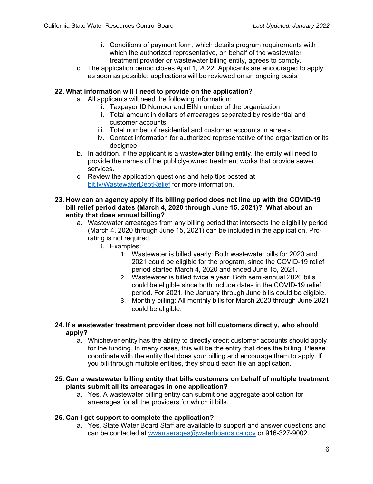- ii. Conditions of payment form, which details program requirements with which the authorized representative, on behalf of the wastewater treatment provider or wastewater billing entity, agrees to comply.
- c. The application period closes April 1, 2022. Applicants are encouraged to apply as soon as possible; applications will be reviewed on an ongoing basis.

#### **22. What information will I need to provide on the application?**

- a. All applicants will need the following information:
	- i. Taxpayer ID Number and EIN number of the organization
	- ii. Total amount in dollars of arrearages separated by residential and customer accounts,
	- iii. Total number of residential and customer accounts in arrears
	- iv. Contact information for authorized representative of the organization or its designee
- b. In addition, if the applicant is a wastewater billing entity, the entity will need to provide the names of the publicly-owned treatment works that provide sewer services.
- c. Review the application questions and help tips posted at [bit.ly/WastewaterDebtRelief](http://bit.ly/WastewaterDebtRelief) for more information.

#### **23. How can an agency apply if its billing period does not line up with the COVID-19 bill relief period dates (March 4, 2020 through June 15, 2021)? What about an entity that does annual billing?**

- a. Wastewater arrearages from any billing period that intersects the eligibility period (March 4, 2020 through June 15, 2021) can be included in the application. Prorating is not required.
	- i. Examples:

.

- 1. Wastewater is billed yearly: Both wastewater bills for 2020 and 2021 could be eligible for the program, since the COVID-19 relief period started March 4, 2020 and ended June 15, 2021.
- 2. Wastewater is billed twice a year: Both semi-annual 2020 bills could be eligible since both include dates in the COVID-19 relief period. For 2021, the January through June bills could be eligible.
- 3. Monthly billing: All monthly bills for March 2020 through June 2021 could be eligible.
- **24. If a wastewater treatment provider does not bill customers directly, who should apply?** 
	- a. Whichever entity has the ability to directly credit customer accounts should apply for the funding. In many cases, this will be the entity that does the billing. Please coordinate with the entity that does your billing and encourage them to apply. If you bill through multiple entities, they should each file an application.
- **25. Can a wastewater billing entity that bills customers on behalf of multiple treatment plants submit all its arrearages in one application?**
	- a. Yes. A wastewater billing entity can submit one aggregate application for arrearages for all the providers for which it bills.

# **26. Can I get support to complete the application?**

a. Yes. State Water Board Staff are available to support and answer questions and can be contacted at [wwarraerages@waterboards.ca.gov](mailto:wwarraerages@waterboards.ca.gov) or 916-327-9002.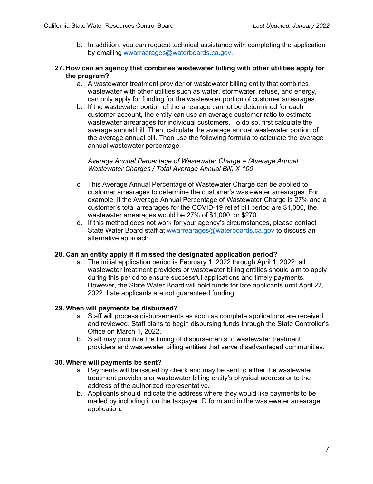b. In addition, you can request technical assistance with completing the application by emailing [wwarraerages@waterboards.ca.gov.](mailto:wwarraerages@waterboards.ca.gov)

#### **27. How can an agency that combines wastewater billing with other utilities apply for the program?**

- a. A wastewater treatment provider or wastewater billing entity that combines wastewater with other utilities such as water, stormwater, refuse, and energy, can only apply for funding for the wastewater portion of customer arrearages.
- b. If the wastewater portion of the arrearage cannot be determined for each customer account, the entity can use an average customer ratio to estimate wastewater arrearages for individual customers. To do so, first calculate the average annual bill. Then, calculate the average annual wastewater portion of the average annual bill. Then use the following formula to calculate the average annual wastewater percentage.

#### *Average Annual Percentage of Wastewater Charge = (Average Annual Wastewater Charges / Total Average Annual Bill) X 100*

- c. This Average Annual Percentage of Wastewater Charge can be applied to customer arrearages to determine the customer's wastewater arrearages. For example, if the Average Annual Percentage of Wastewater Charge is 27% and a customer's total arrearages for the COVID-19 relief bill period are \$1,000, the wastewater arrearages would be 27% of \$1,000, or \$270.
- d. If this method does not work for your agency's circumstances, please contact State Water Board staff at [wwarrearages@waterboards.ca.gov](mailto:wwarrearages@waterboards.ca.gov) to discuss an alternative approach.

# **28. Can an entity apply if it missed the designated application period?**

a. The initial application period is February 1, 2022 through April 1, 2022; all wastewater treatment providers or wastewater billing entities should aim to apply during this period to ensure successful applications and timely payments. However, the State Water Board will hold funds for late applicants until April 22, 2022. Late applicants are not guaranteed funding.

# **29. When will payments be disbursed?**

- a. Staff will process disbursements as soon as complete applications are received and reviewed. Staff plans to begin disbursing funds through the State Controller's Office on March 1, 2022.
- b. Staff may prioritize the timing of disbursements to wastewater treatment providers and wastewater billing entities that serve disadvantaged communities.

#### **30. Where will payments be sent?**

- a. Payments will be issued by check and may be sent to either the wastewater treatment provider's or wastewater billing entity's physical address or to the address of the authorized representative.
- b. Applicants should indicate the address where they would like payments to be mailed by including it on the taxpayer ID form and in the wastewater arrearage application.